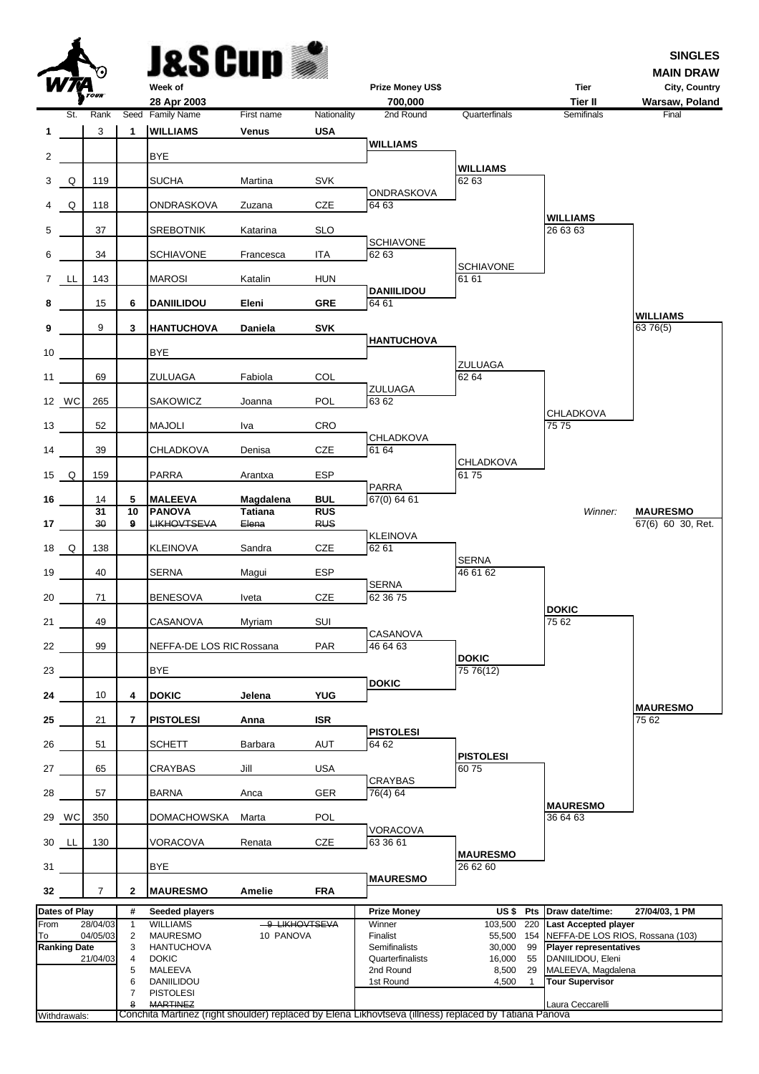| J&S Cup |  |
|---------|--|
|         |  |

 $\blacktriangle$ 



**MAIN DRAW**

|             | <i>W7A</i>          |                       |                | Week of                             |                         |                          | <b>Prize Money US\$</b>                                                                               |                              | <b>Tier</b>                                        | City, Country                        |
|-------------|---------------------|-----------------------|----------------|-------------------------------------|-------------------------|--------------------------|-------------------------------------------------------------------------------------------------------|------------------------------|----------------------------------------------------|--------------------------------------|
|             |                     | TOUR <sup></sup>      |                | 28 Apr 2003                         |                         |                          | 700.000                                                                                               |                              | <b>Tier II</b>                                     | Warsaw, Poland                       |
|             | St.                 | Rank                  |                | Seed Family Name                    | First name              | Nationality              | 2nd Round                                                                                             | Quarterfinals                | Semifinals                                         | Final                                |
| 1           |                     | 3                     | $\mathbf{1}$   | <b>WILLIAMS</b>                     | <b>Venus</b>            | <b>USA</b>               |                                                                                                       |                              |                                                    |                                      |
| 2           |                     |                       |                | <b>BYE</b>                          |                         |                          | <b>WILLIAMS</b>                                                                                       |                              |                                                    |                                      |
| 3           | Q                   | 119                   |                | <b>SUCHA</b>                        | Martina                 | SVK                      | ONDRASKOVA                                                                                            | <b>WILLIAMS</b><br>62 63     |                                                    |                                      |
| 4           | Q                   | 118                   |                | ONDRASKOVA                          | Zuzana                  | CZE                      | 64 63                                                                                                 |                              |                                                    |                                      |
| 5           |                     | 37                    |                | <b>SREBOTNIK</b>                    | Katarina                | <b>SLO</b>               |                                                                                                       |                              | <b>WILLIAMS</b><br>26 63 63                        |                                      |
| 6           |                     | 34                    |                | <b>SCHIAVONE</b>                    | Francesca               | ITA                      | <b>SCHIAVONE</b><br>62 63                                                                             | <b>SCHIAVONE</b>             |                                                    |                                      |
| $7^{\circ}$ | LL                  | 143                   |                | <b>MAROSI</b>                       | Katalin                 | <b>HUN</b>               | <b>DANIILIDOU</b>                                                                                     | 61 61                        |                                                    |                                      |
| 8           |                     | 15                    | 6              | <b>DANIILIDOU</b>                   | Eleni                   | <b>GRE</b>               | 64 61                                                                                                 |                              |                                                    | <b>WILLIAMS</b>                      |
| 9           |                     | 9                     | 3              | <b>HANTUCHOVA</b>                   | Daniela                 | <b>SVK</b>               | <b>HANTUCHOVA</b>                                                                                     |                              |                                                    | 63 76(5)                             |
| 10          |                     |                       |                | <b>BYE</b>                          |                         |                          |                                                                                                       | ZULUAGA                      |                                                    |                                      |
| 11          |                     | 69                    |                | ZULUAGA                             | Fabiola                 | COL                      | ZULUAGA                                                                                               | 62 64                        |                                                    |                                      |
|             | 12 WC               | 265                   |                | SAKOWICZ                            | Joanna                  | POL                      | 63 62                                                                                                 |                              | <b>CHLADKOVA</b>                                   |                                      |
| 13          |                     | 52                    |                | <b>MAJOLI</b>                       | Iva                     | CRO                      | CHLADKOVA                                                                                             |                              | 75 75                                              |                                      |
| 14          |                     | 39                    |                | CHLADKOVA                           | Denisa                  | CZE                      | 61 64                                                                                                 | <b>CHLADKOVA</b>             |                                                    |                                      |
| 15 Q        |                     | 159                   |                | PARRA                               | Arantxa                 | <b>ESP</b>               | <b>PARRA</b>                                                                                          | 6175                         |                                                    |                                      |
| 16          |                     | 14                    | 5              | <b>MALEEVA</b>                      | Magdalena               | <b>BUL</b>               | 67(0) 64 61                                                                                           |                              |                                                    |                                      |
| 17          |                     | $\overline{31}$<br>30 | 10<br>9        | <b>PANOVA</b><br><b>LIKHOVTSEVA</b> | <b>Tatiana</b><br>Elena | <b>RUS</b><br><b>RUS</b> |                                                                                                       |                              | Winner:                                            | <b>MAURESMO</b><br>67(6) 60 30, Ret. |
|             | 18 Q                | 138                   |                | <b>KLEINOVA</b>                     | Sandra                  | CZE                      | <b>KLEINOVA</b><br>62 61                                                                              |                              |                                                    |                                      |
| 19          |                     | 40                    |                | <b>SERNA</b>                        | Magui                   | <b>ESP</b>               |                                                                                                       | <b>SERNA</b><br>46 61 62     |                                                    |                                      |
| 20          |                     | 71                    |                | <b>BENESOVA</b>                     | Iveta                   | CZE                      | <b>SERNA</b><br>62 36 75                                                                              |                              |                                                    |                                      |
| 21          |                     | 49                    |                | CASANOVA                            | Myriam                  | SUI                      |                                                                                                       |                              | <b>DOKIC</b><br>75 62                              |                                      |
| 22          |                     | 99                    |                | NEFFA-DE LOS RIC Rossana            |                         | <b>PAR</b>               | CASANOVA<br>46 64 63                                                                                  |                              |                                                    |                                      |
| 23          |                     |                       |                | <b>BYE</b>                          |                         |                          |                                                                                                       | <b>DOKIC</b><br>75 76(12)    |                                                    |                                      |
| 24          |                     | 10                    | 4              | <b>DOKIC</b>                        | Jelena                  | <b>YUG</b>               | <b>DOKIC</b>                                                                                          |                              |                                                    |                                      |
| 25          |                     | 21                    | $\overline{7}$ | <b>PISTOLESI</b>                    | Anna                    | <b>ISR</b>               |                                                                                                       |                              |                                                    | <b>MAURESMO</b><br>75 62             |
| 26          |                     | 51                    |                | <b>SCHETT</b>                       | Barbara                 | AUT                      | <b>PISTOLESI</b><br>64 62                                                                             |                              |                                                    |                                      |
| 27          |                     | 65                    |                | CRAYBAS                             | Jill                    | <b>USA</b>               |                                                                                                       | <b>PISTOLESI</b><br>6075     |                                                    |                                      |
| 28          |                     | 57                    |                | <b>BARNA</b>                        | Anca                    | <b>GER</b>               | <b>CRAYBAS</b><br>76(4) 64                                                                            |                              |                                                    |                                      |
|             | 29 WC               | 350                   |                | <b>DOMACHOWSKA</b>                  | Marta                   | <b>POL</b>               |                                                                                                       |                              | <b>MAURESMO</b><br>36 64 63                        |                                      |
|             | 30 LL               | 130                   |                | VORACOVA                            | Renata                  | <b>CZE</b>               | <b>VORACOVA</b><br>63 36 61                                                                           |                              |                                                    |                                      |
| 31          |                     |                       |                | BYE                                 |                         |                          |                                                                                                       | <b>MAURESMO</b><br>26 62 60  |                                                    |                                      |
| 32          |                     | $\overline{7}$        | $\mathbf{2}$   | <b>MAURESMO</b>                     | Amelie                  | <b>FRA</b>               | <b>MAURESMO</b>                                                                                       |                              |                                                    |                                      |
|             | Dates of Play       |                       | #              | Seeded players                      |                         |                          | <b>Prize Money</b>                                                                                    |                              | US \$ Pts Draw date/time:                          | 27/04/03, 1 PM                       |
| From        |                     | 28/04/03              | $\mathbf{1}$   | <b>WILLIAMS</b>                     |                         | -9-LIKHOVTSEVA           | Winner                                                                                                | 103,500<br>220               | Last Accepted player                               |                                      |
| To          |                     | 04/05/03              | 2              | <b>MAURESMO</b>                     | 10 PANOVA               |                          | Finalist                                                                                              | 55,500                       | 154 NEFFA-DE LOS RIOS, Rossana (103)               |                                      |
|             | <b>Ranking Date</b> | 21/04/03              | 3<br>4         | <b>HANTUCHOVA</b><br><b>DOKIC</b>   |                         |                          | Semifinalists<br>Quarterfinalists                                                                     | 30,000<br>99<br>16,000<br>55 | <b>Player representatives</b><br>DANIILIDOU, Eleni |                                      |
|             |                     |                       | 5              | MALEEVA                             |                         |                          | 2nd Round                                                                                             | 8,500<br>29                  | MALEEVA, Magdalena                                 |                                      |
|             |                     |                       | 6              | DANIILIDOU                          |                         |                          | 1st Round                                                                                             | 4,500<br>$\mathbf{1}$        | <b>Tour Supervisor</b>                             |                                      |
|             |                     |                       | 7              | <b>PISTOLESI</b>                    |                         |                          |                                                                                                       |                              |                                                    |                                      |
|             |                     |                       | 8              | <b>MARTINEZ</b>                     |                         |                          |                                                                                                       |                              | Laura Ceccarelli                                   |                                      |
|             | Withdrawals:        |                       |                |                                     |                         |                          | Conchita Martinez (right shoulder) replaced by Elena Likhovtseva (illness) replaced by Tatiana Panova |                              |                                                    |                                      |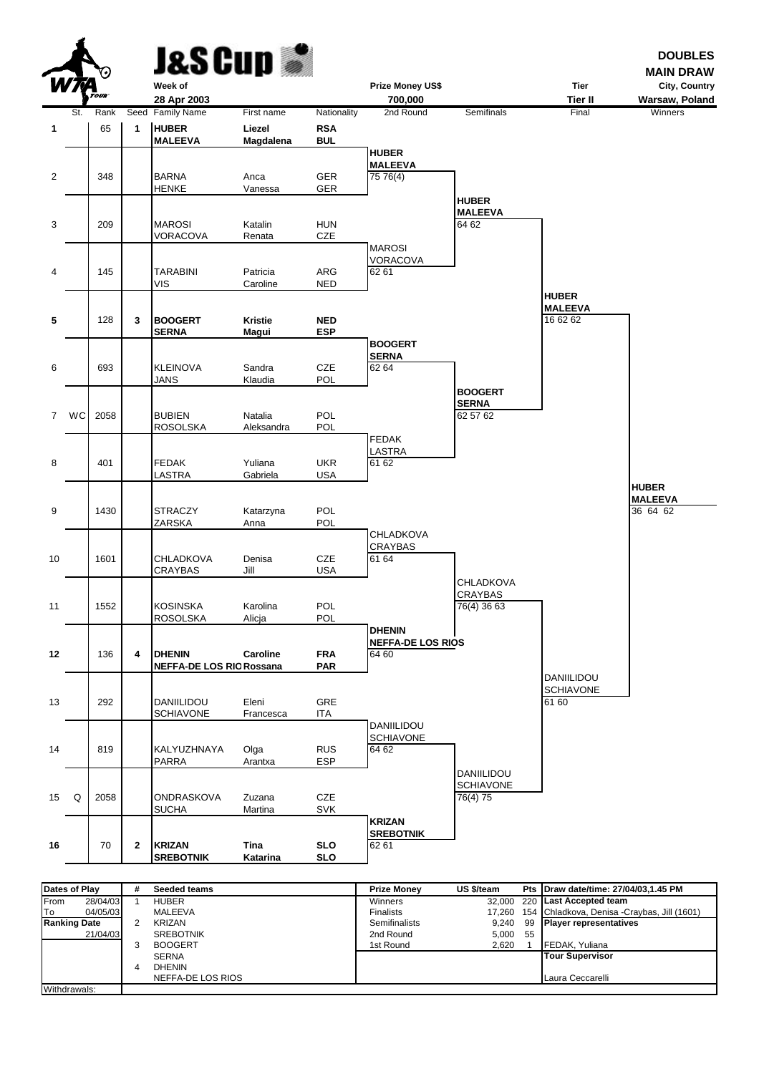|                         | Δ<br>W <i>TA</i> | <b>TOUR</b> |              | <b>J&amp;S Cup</b><br>Week of<br>28 Apr 2003     |                      |                          | Prize Money US\$<br>700,000       |                                | <b>Tier</b><br><b>Tier II</b> | <b>DOUBLES</b><br><b>MAIN DRAW</b><br>City, Country<br>Warsaw, Poland |
|-------------------------|------------------|-------------|--------------|--------------------------------------------------|----------------------|--------------------------|-----------------------------------|--------------------------------|-------------------------------|-----------------------------------------------------------------------|
|                         | St.              | Rank        |              | Seed Family Name                                 | First name           | Nationality              | 2nd Round                         | Semifinals                     | Final                         | Winners                                                               |
| 1                       |                  | 65          | 1            | <b>HUBER</b>                                     | Liezel               | <b>RSA</b>               |                                   |                                |                               |                                                                       |
|                         |                  |             |              | <b>MALEEVA</b>                                   | Magdalena            | <b>BUL</b>               | <b>HUBER</b>                      |                                |                               |                                                                       |
|                         |                  |             |              |                                                  |                      |                          | <b>MALEEVA</b>                    |                                |                               |                                                                       |
| $\overline{2}$          |                  | 348         |              | <b>BARNA</b>                                     | Anca                 | GER                      | 75 76(4)                          |                                |                               |                                                                       |
|                         |                  |             |              | <b>HENKE</b>                                     | Vanessa              | GER                      |                                   | <b>HUBER</b>                   |                               |                                                                       |
|                         |                  |             |              |                                                  |                      |                          |                                   | <b>MALEEVA</b>                 |                               |                                                                       |
| 3                       |                  | 209         |              | <b>MAROSI</b><br>VORACOVA                        | Katalin<br>Renata    | <b>HUN</b><br>CZE        |                                   | 64 62                          |                               |                                                                       |
|                         |                  |             |              |                                                  |                      |                          | <b>MAROSI</b>                     |                                |                               |                                                                       |
|                         |                  |             |              |                                                  |                      |                          | <b>VORACOVA</b>                   |                                |                               |                                                                       |
| $\overline{\mathbf{4}}$ |                  | 145         |              | <b>TARABINI</b><br>VIS                           | Patricia<br>Caroline | ARG<br><b>NED</b>        | 62 61                             |                                |                               |                                                                       |
|                         |                  |             |              |                                                  |                      |                          |                                   |                                | <b>HUBER</b>                  |                                                                       |
| 5                       |                  | 128         | 3            | <b>BOOGERT</b>                                   | <b>Kristie</b>       | <b>NED</b>               |                                   |                                | <b>MALEEVA</b><br>16 62 62    |                                                                       |
|                         |                  |             |              | <b>SERNA</b>                                     | Magui                | <b>ESP</b>               |                                   |                                |                               |                                                                       |
|                         |                  |             |              |                                                  |                      |                          | <b>BOOGERT</b>                    |                                |                               |                                                                       |
| 6                       |                  | 693         |              | <b>KLEINOVA</b>                                  | Sandra               | CZE                      | <b>SERNA</b><br>62 64             |                                |                               |                                                                       |
|                         |                  |             |              | <b>JANS</b>                                      | Klaudia              | <b>POL</b>               |                                   |                                |                               |                                                                       |
|                         |                  |             |              |                                                  |                      |                          |                                   | <b>BOOGERT</b>                 |                               |                                                                       |
| $\overline{7}$          | WC               | 2058        |              | <b>BUBIEN</b>                                    | Natalia              | POL                      |                                   | <b>SERNA</b><br>62 57 62       |                               |                                                                       |
|                         |                  |             |              | <b>ROSOLSKA</b>                                  | Aleksandra           | POL                      |                                   |                                |                               |                                                                       |
|                         |                  |             |              |                                                  |                      |                          | <b>FEDAK</b><br>LASTRA            |                                |                               |                                                                       |
| 8                       |                  | 401         |              | <b>FEDAK</b>                                     | Yuliana              | <b>UKR</b>               | 61 62                             |                                |                               |                                                                       |
|                         |                  |             |              | LASTRA                                           | Gabriela             | <b>USA</b>               |                                   |                                |                               |                                                                       |
|                         |                  |             |              |                                                  |                      |                          |                                   |                                |                               | <b>HUBER</b><br><b>MALEEVA</b>                                        |
| 9                       |                  | 1430        |              | <b>STRACZY</b>                                   | Katarzyna            | POL                      |                                   |                                |                               | 36 64 62                                                              |
|                         |                  |             |              | ZARSKA                                           | Anna                 | POL                      | <b>CHLADKOVA</b>                  |                                |                               |                                                                       |
|                         |                  |             |              |                                                  |                      |                          | <b>CRAYBAS</b>                    |                                |                               |                                                                       |
| 10                      |                  | 1601        |              | <b>CHLADKOVA</b>                                 | Denisa               | CZE                      | 61 64                             |                                |                               |                                                                       |
|                         |                  |             |              | <b>CRAYBAS</b>                                   | Jill                 | <b>USA</b>               |                                   | <b>CHLADKOVA</b>               |                               |                                                                       |
|                         |                  |             |              |                                                  |                      |                          |                                   | <b>CRAYBAS</b>                 |                               |                                                                       |
| 11                      |                  | 1552        |              | <b>KOSINSKA</b><br><b>ROSOLSKA</b>               | Karolina<br>Alicja   | POL<br>POL               |                                   | 76(4) 36 63                    |                               |                                                                       |
|                         |                  |             |              |                                                  |                      |                          | <b>DHENIN</b>                     |                                |                               |                                                                       |
|                         |                  |             |              |                                                  |                      |                          | <b>NEFFA-DE LOS RIOS</b>          |                                |                               |                                                                       |
| 12                      |                  | 136         | 4            | <b>DHENIN</b><br><b>NEFFA-DE LOS RIO Rossana</b> | Caroline             | <b>FRA</b><br><b>PAR</b> | 64 60                             |                                |                               |                                                                       |
|                         |                  |             |              |                                                  |                      |                          |                                   |                                | <b>DANIILIDOU</b>             |                                                                       |
| 13                      |                  | 292         |              | DANIILIDOU                                       | Eleni                | GRE                      |                                   |                                | <b>SCHIAVONE</b><br>61 60     |                                                                       |
|                         |                  |             |              | <b>SCHIAVONE</b>                                 | Francesca            | ITA                      |                                   |                                |                               |                                                                       |
|                         |                  |             |              |                                                  |                      |                          | DANIILIDOU                        |                                |                               |                                                                       |
| 14                      |                  | 819         |              | KALYUZHNAYA                                      | Olga                 | <b>RUS</b>               | <b>SCHIAVONE</b><br>64 62         |                                |                               |                                                                       |
|                         |                  |             |              | PARRA                                            | Arantxa              | <b>ESP</b>               |                                   |                                |                               |                                                                       |
|                         |                  |             |              |                                                  |                      |                          |                                   | DANIILIDOU<br><b>SCHIAVONE</b> |                               |                                                                       |
| 15                      | Q                | 2058        |              | ONDRASKOVA                                       | Zuzana               | CZE                      |                                   | 76(4) 75                       |                               |                                                                       |
|                         |                  |             |              | <b>SUCHA</b>                                     | Martina              | SVK                      |                                   |                                |                               |                                                                       |
|                         |                  |             |              |                                                  |                      |                          | <b>KRIZAN</b><br><b>SREBOTNIK</b> |                                |                               |                                                                       |
| 16                      |                  | 70          | $\mathbf{2}$ | <b>KRIZAN</b>                                    | Tina                 | <b>SLO</b>               | 62 61                             |                                |                               |                                                                       |
|                         |                  |             |              | <b>SREBOTNIK</b>                                 | Katarina             | SLO                      |                                   |                                |                               |                                                                       |

فعد

| Dates of Play       |          | # | Seeded teams      | <b>Prize Monev</b>   | US \$/team |    | Pts Draw date/time: 27/04/03,1.45 PM               |
|---------------------|----------|---|-------------------|----------------------|------------|----|----------------------------------------------------|
| From<br>28/04/03    |          |   | <b>HUBER</b>      | Winners              |            |    | 32,000 220 Last Accepted team                      |
| To                  | 04/05/03 |   | MALEEVA           | <b>Finalists</b>     |            |    | 17,260 154 Chladkova, Denisa -Craybas, Jill (1601) |
| <b>Ranking Date</b> |          |   | <b>KRIZAN</b>     | <b>Semifinalists</b> | 9.240      |    | 99 Player representatives                          |
| 21/04/03            |          |   | <b>SREBOTNIK</b>  | 2nd Round            | 5,000      | 55 |                                                    |
|                     |          |   | <b>BOOGERT</b>    | 1st Round            | 2.620      |    | FEDAK, Yuliana                                     |
|                     |          |   | <b>SERNA</b>      |                      |            |    | <b>Tour Supervisor</b>                             |
|                     |          |   | <b>DHENIN</b>     |                      |            |    |                                                    |
|                     |          |   | NEFFA-DE LOS RIOS |                      |            |    | Laura Ceccarelli                                   |
| Withdrawals:        |          |   |                   |                      |            |    |                                                    |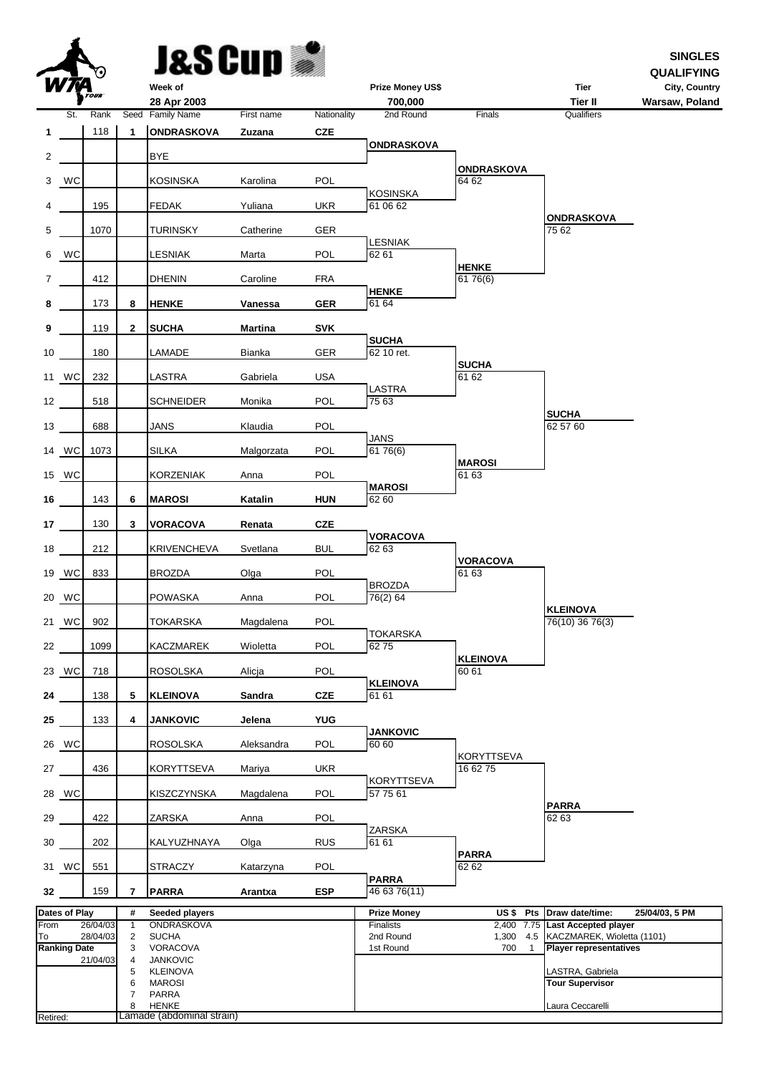| ú | Week |
|---|------|

**&SCun** 

**SINGLES**

|          |                     | Y.)      |                | R HNO CYC                   |                |             |                                    |                               |                               | <b>QUALIFYING</b>               |
|----------|---------------------|----------|----------------|-----------------------------|----------------|-------------|------------------------------------|-------------------------------|-------------------------------|---------------------------------|
|          |                     | TOUR     |                | Week of<br>28 Apr 2003      |                |             | <b>Prize Money US\$</b><br>700,000 |                               | <b>Tier</b><br><b>Tier II</b> | City, Country<br>Warsaw, Poland |
|          | St.                 | Rank     |                | Seed Family Name            | First name     | Nationality | 2nd Round                          | Finals                        | Qualifiers                    |                                 |
| 1        |                     | 118      | 1              | <b>ONDRASKOVA</b>           | Zuzana         | <b>CZE</b>  |                                    |                               |                               |                                 |
| 2        |                     |          |                | <b>BYE</b>                  |                |             | <b>ONDRASKOVA</b>                  |                               |                               |                                 |
| 3        | WC                  |          |                | <b>KOSINSKA</b>             | Karolina       | POL         |                                    | <b>ONDRASKOVA</b><br>64 62    |                               |                                 |
| 4        |                     | 195      |                | <b>FEDAK</b>                | Yuliana        | UKR         | <b>KOSINSKA</b><br>61 06 62        |                               |                               |                                 |
| 5        |                     | 1070     |                | <b>TURINSKY</b>             | Catherine      | GER         |                                    |                               | <b>ONDRASKOVA</b><br>75 62    |                                 |
| 6        | WC                  |          |                | LESNIAK                     | Marta          | POL         | <b>LESNIAK</b><br>62 61            |                               |                               |                                 |
| 7        |                     | 412      |                | <b>DHENIN</b>               | Caroline       | <b>FRA</b>  |                                    | <b>HENKE</b><br>61 76(6)      |                               |                                 |
| 8        |                     | 173      | 8              | <b>HENKE</b>                | Vanessa        | <b>GER</b>  | <b>HENKE</b><br>61 64              |                               |                               |                                 |
| 9        |                     | 119      | $\mathbf{2}$   | <b>SUCHA</b>                | <b>Martina</b> | <b>SVK</b>  |                                    |                               |                               |                                 |
|          |                     |          |                |                             |                |             | <b>SUCHA</b>                       |                               |                               |                                 |
| 10       |                     | 180      |                | LAMADE                      | Bianka         | <b>GER</b>  | 62 10 ret.                         | <b>SUCHA</b>                  |                               |                                 |
|          | 11 WC               | 232      |                | LASTRA                      | Gabriela       | USA         | <b>LASTRA</b>                      | 61 62                         |                               |                                 |
| 12       |                     | 518      |                | <b>SCHNEIDER</b>            | Monika         | POL         | 75 63                              |                               | <b>SUCHA</b>                  |                                 |
| 13       |                     | 688      |                | <b>JANS</b>                 | Klaudia        | POL         | <b>JANS</b>                        |                               | 62 57 60                      |                                 |
|          | 14 WC               | 1073     |                | <b>SILKA</b>                | Malgorzata     | POL         | 61 76(6)                           |                               |                               |                                 |
|          | 15 WC               |          |                | <b>KORZENIAK</b>            | Anna           | POL         |                                    | <b>MAROSI</b><br>61 63        |                               |                                 |
| 16       |                     | 143      | 6              | <b>MAROSI</b>               | Katalin        | <b>HUN</b>  | <b>MAROSI</b><br>62 60             |                               |                               |                                 |
| 17       |                     | 130      | 3              | <b>VORACOVA</b>             | Renata         | <b>CZE</b>  |                                    |                               |                               |                                 |
| 18       |                     | 212      |                | <b>KRIVENCHEVA</b>          | Svetlana       | <b>BUL</b>  | <b>VORACOVA</b><br>62 63           |                               |                               |                                 |
|          |                     | 833      |                | <b>BROZDA</b>               |                | POL         |                                    | <b>VORACOVA</b><br>61 63      |                               |                                 |
| 19       | WC                  |          |                |                             | Olga           |             | <b>BROZDA</b>                      |                               |                               |                                 |
| 20       | WC                  |          |                | <b>POWASKA</b>              | Anna           | POL         | 76(2) 64                           |                               | <b>KLEINOVA</b>               |                                 |
|          | 21 WC               | 902      |                | <b>TOKARSKA</b>             | Magdalena      | POL         | <b>TOKARSKA</b>                    |                               | 76(10) 36 76(3)               |                                 |
| 22       |                     | 1099     |                | KACZMAREK                   | Wioletta       | POL         | 6275                               | <b>KLEINOVA</b>               |                               |                                 |
|          | 23 WC               | 718      |                | ROSOLSKA                    | Alicja         | POL         | <b>KLEINOVA</b>                    | 60 61                         |                               |                                 |
| 24       |                     | 138      | 5              | <b>KLEINOVA</b>             | Sandra         | <b>CZE</b>  | 61 61                              |                               |                               |                                 |
| 25       |                     | 133      | 4              | <b>JANKOVIC</b>             | Jelena         | <b>YUG</b>  |                                    |                               |                               |                                 |
|          | 26 WC               |          |                | <b>ROSOLSKA</b>             | Aleksandra     | POL         | <b>JANKOVIC</b><br>60 60           |                               |                               |                                 |
| 27       |                     | 436      |                | <b>KORYTTSEVA</b>           | Mariya         | <b>UKR</b>  |                                    | <b>KORYTTSEVA</b><br>16 62 75 |                               |                                 |
|          | 28 WC               |          |                | KISZCZYNSKA                 | Magdalena      | POL         | <b>KORYTTSEVA</b><br>57 75 61      |                               |                               |                                 |
| 29       |                     | 422      |                | ZARSKA                      | Anna           | POL         |                                    |                               | <b>PARRA</b><br>62 63         |                                 |
| 30       |                     | 202      |                | KALYUZHNAYA                 | Olga           | <b>RUS</b>  | ZARSKA<br>61 61                    |                               |                               |                                 |
|          | 31 WC               | 551      |                | <b>STRACZY</b>              | Katarzyna      | POL         |                                    | <b>PARRA</b><br>62 62         |                               |                                 |
| 32       |                     | 159      | 7              | <b>PARRA</b>                | Arantxa        | <b>ESP</b>  | <b>PARRA</b><br>46 63 76(11)       |                               |                               |                                 |
|          | Dates of Play       |          | #              | Seeded players              |                |             | <b>Prize Money</b>                 | US\$ Pts                      | Draw date/time:               | 25/04/03, 5 PM                  |
| From     |                     | 26/04/03 | $\mathbf{1}$   | ONDRASKOVA                  |                |             | Finalists                          | 2,400 7.75                    | <b>Last Accepted player</b>   |                                 |
| To       |                     | 28/04/03 | $\overline{c}$ | <b>SUCHA</b>                |                |             | 2nd Round                          | 1,300 4.5                     | KACZMAREK, Wioletta (1101)    |                                 |
|          | <b>Ranking Date</b> | 21/04/03 | 3<br>4         | VORACOVA<br><b>JANKOVIC</b> |                |             | 1st Round                          | 700<br>$\overline{1}$         | <b>Player representatives</b> |                                 |
|          |                     |          | 5              | <b>KLEINOVA</b>             |                |             |                                    |                               | LASTRA, Gabriela              |                                 |
|          |                     |          | 6              | <b>MAROSI</b>               |                |             |                                    |                               | <b>Tour Supervisor</b>        |                                 |
|          |                     |          | 7              | PARRA                       |                |             |                                    |                               |                               |                                 |
|          |                     |          | 8              | <b>HENKE</b>                |                |             |                                    |                               | Laura Ceccarelli              |                                 |
| Retired: |                     |          |                | Lamade (abdominal strain)   |                |             |                                    |                               |                               |                                 |